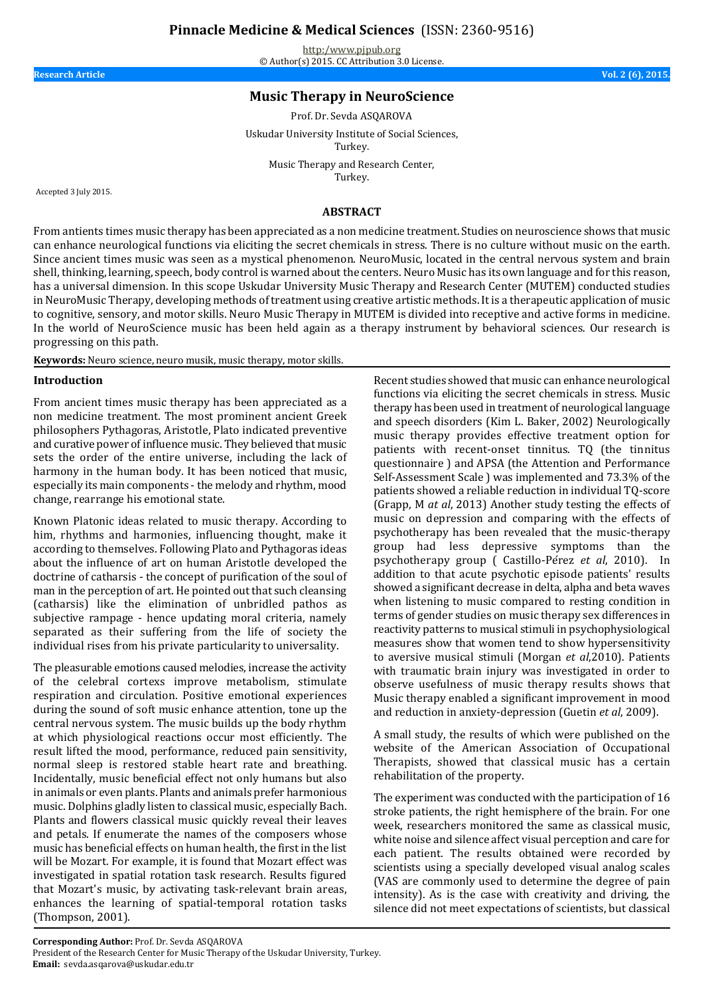**Pinnacle Medicine & Medical Sciences** (ISSN: 2360-9516)

<http:/www.pjpub.org> © Author(s) 2015. CC Attribution 3.0 License.

**Research Article Vol. 2 (6), 2015.**

# **Music Therapy in NeuroScience**

Prof. Dr. Sevda ASQAROVA

Uskudar University Institute of Social Sciences, Turkey.

> Music Therapy and Research Center, Turkey.

Accepted 3 July 2015.

#### **ABSTRACT**

From antients times music therapy has been appreciated as a non medicine treatment. Studies on neuroscience shows that music can enhance neurological functions via eliciting the secret chemicals in stress. There is no culture without music on the earth. Since ancient times music was seen as a mystical phenomenon. NeuroMusic, located in the central nervous system and brain shell, thinking, learning, speech, body control is warned about the centers. Neuro Music has its own language and for this reason, has a universal dimension. In this scope Uskudar University Music Therapy and Research Center (MUTEM) conducted studies in NeuroMusic Therapy, developing methods of treatment using creative artistic methods. It is a therapeutic application of music to cognitive, sensory, and motor skills. Neuro Music Therapy in MUTEM is divided into receptive and active forms in medicine. In the world of NeuroScience music has been held again as a therapy instrument by behavioral sciences. Our research is progressing on this path.

**Keywords:** Neuro science, neuro musik, music therapy, motor skills.

#### **Introduction**

From ancient times music therapy has been appreciated as a non medicine treatment. The most prominent ancient Greek philosophers Pythagoras, Aristotle, Plato indicated preventive and curative power of influence music. They believed that music sets the order of the entire universe, including the lack of harmony in the human body. It has been noticed that music, especially its main components - the melody and rhythm, mood change, rearrange his emotional state.

Known Platonic ideas related to music therapy. According to him, rhythms and harmonies, influencing thought, make it according to themselves. Following Plato and Pythagoras ideas about the influence of art on human Aristotle developed the doctrine of catharsis - the concept of purification of the soul of man in the perception of art. He pointed out that such cleansing (catharsis) like the elimination of unbridled pathos as subjective rampage - hence updating moral criteria, namely separated as their suffering from the life of society the individual rises from his private particularity to universality.

The pleasurable emotions caused melodies, increase the activity of the celebral cortexs improve metabolism, stimulate respiration and circulation. Positive emotional experiences during the sound of soft music enhance attention, tone up the central nervous system. The music builds up the body rhythm at which physiological reactions occur most efficiently. The result lifted the mood, performance, reduced pain sensitivity, normal sleep is restored stable heart rate and breathing. Incidentally, music beneficial effect not only humans but also in animals or even plants. Plants and animals prefer harmonious music. Dolphins gladly listen to classical music, especially Bach. Plants and flowers classical music quickly reveal their leaves and petals. If enumerate the names of the composers whose music has beneficial effects on human health, the first in the list will be Mozart. For example, it is found that Mozart effect was investigated in spatial rotation task research. Results figured that Mozart's music, by activating task-relevant brain areas, enhances the learning of spatial-temporal rotation tasks (Thompson, 2001).

Recent studies showed that music can enhance neurological functions via eliciting the secret chemicals in stress. Music therapy has been used in treatment of neurological language and speech disorders (Kim L. Baker, 2002) Neurologically music therapy provides effective treatment option for patients with recent-onset tinnitus. TQ (the tinnitus questionnaire ) and APSA (the Attention and Performance Self-Assessment Scale ) was implemented and 73.3% of the patients showed a reliable reduction in individual TQ-score (Grapp, M *at al*, 2013) Another study testing the effects of music on depression and comparing with the effects of psychotherapy has been revealed that the music-therapy group had less depressive symptoms than the psychotherapy group ( Castillo‐Pérez *et al*, 2010). In addition to that acute psychotic episode patients' results showed a significant decrease in delta, alpha and beta waves when listening to music compared to resting condition in terms of gender studies on music therapy sex differences in reactivity patterns to musical stimuli in psychophysiological measures show that women tend to show hypersensitivity to aversive musical stimuli (Morgan *et al*,2010). Patients with traumatic brain injury was investigated in order to observe usefulness of music therapy results shows that Music therapy enabled a significant improvement in mood and reduction in anxiety-depression (Guetin *et al*, 2009).

A small study, the results of which were published on the website of the American Association of Occupational Therapists, showed that classical music has a certain rehabilitation of the property.

The experiment was conducted with the participation of 16 stroke patients, the right hemisphere of the brain. For one week, researchers monitored the same as classical music, white noise and silence affect visual perception and care for each patient. The results obtained were recorded by scientists using a specially developed visual analog scales (VAS are commonly used to determine the degree of pain intensity). As is the case with creativity and driving, the silence did not meet expectations of scientists, but classical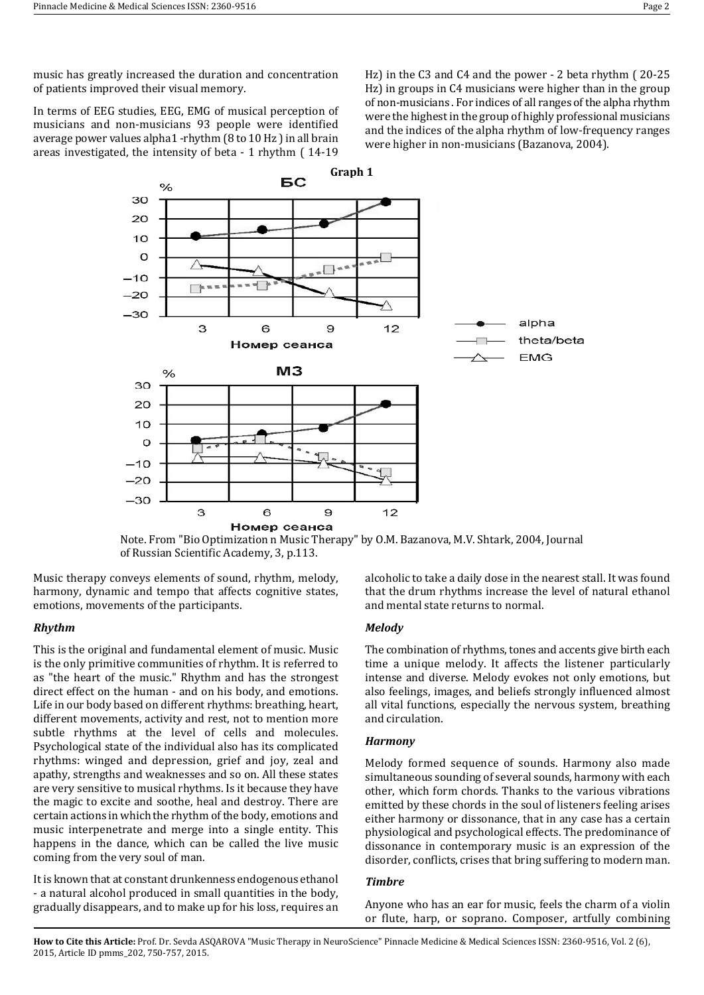music has greatly increased the duration and concentration of patients improved their visual memory.

In terms of EEG studies, EEG, EMG of musical perception of musicians and non-musicians 93 people were identified average power values alpha1 -rhythm (8 to 10 Hz ) in all brain areas investigated, the intensity of beta - 1 rhythm ( 14-19

Hz) in the C3 and C4 and the power - 2 beta rhythm ( 20-25 Hz) in groups in C4 musicians were higher than in the group of non-musicians . For indices of all ranges of the alpha rhythm were the highest in the group of highly professional musicians and the indices of the alpha rhythm of low-frequency ranges were higher in non-musicians (Bazanova, 2004).



Note. From "Bio Optimization n Music Therapy" by O.M. Bazanova, M.V. Shtark, 2004, Journal of Russian Scientific Academy, 3, p.113.

Music therapy conveys elements of sound, rhythm, melody, harmony, dynamic and tempo that affects cognitive states, emotions, movements of the participants.

## *Rhythm*

This is the original and fundamental element of music. Music is the only primitive communities of rhythm. It is referred to as "the heart of the music." Rhythm and has the strongest direct effect on the human - and on his body, and emotions. Life in our body based on different rhythms: breathing, heart, different movements, activity and rest, not to mention more subtle rhythms at the level of cells and molecules. Psychological state of the individual also has its complicated rhythms: winged and depression, grief and joy, zeal and apathy, strengths and weaknesses and so on. All these states are very sensitive to musical rhythms. Is it because they have the magic to excite and soothe, heal and destroy. There are certain actions in which the rhythm of the body, emotions and music interpenetrate and merge into a single entity. This happens in the dance, which can be called the live music coming from the very soul of man.

It is known that at constant drunkenness endogenous ethanol - a natural alcohol produced in small quantities in the body, gradually disappears, and to make up for his loss, requires an alcoholic to take a daily dose in the nearest stall. It was found that the drum rhythms increase the level of natural ethanol and mental state returns to normal.

## *Melody*

The combination of rhythms, tones and accents give birth each time a unique melody. It affects the listener particularly intense and diverse. Melody evokes not only emotions, but also feelings, images, and beliefs strongly influenced almost all vital functions, especially the nervous system, breathing and circulation.

## *Harmony*

Melody formed sequence of sounds. Harmony also made simultaneous sounding of several sounds, harmony with each other, which form chords. Thanks to the various vibrations emitted by these chords in the soul of listeners feeling arises either harmony or dissonance, that in any case has a certain physiological and psychological effects. The predominance of dissonance in contemporary music is an expression of the disorder, conflicts, crises that bring suffering to modern man.

#### *Timbre*

Anyone who has an ear for music, feels the charm of a violin or flute, harp, or soprano. Composer, artfully combining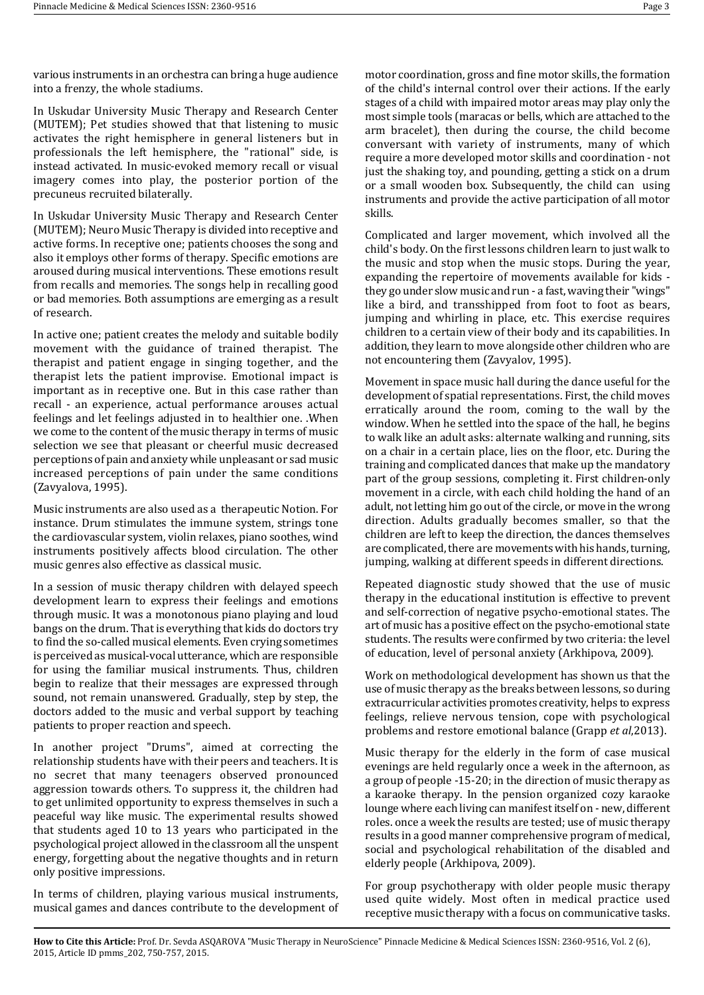various instruments in an orchestra can bring a huge audience into a frenzy, the whole stadiums.

In Uskudar University Music Therapy and Research Center (MUTEM); Pet studies showed that that listening to music activates the right hemisphere in general listeners but in professionals the left hemisphere, the "rational" side, is instead activated. In music-evoked memory recall or visual imagery comes into play, the posterior portion of the precuneus recruited bilaterally.

In Uskudar University Music Therapy and Research Center (MUTEM); Neuro Music Therapy is divided into receptive and active forms. In receptive one; patients chooses the song and also it employs other forms of therapy. Specific emotions are aroused during musical interventions. These emotions result from recalls and memories. The songs help in recalling good or bad memories. Both assumptions are emerging as a result of research.

In active one; patient creates the melody and suitable bodily movement with the guidance of trained therapist. The therapist and patient engage in singing together, and the therapist lets the patient improvise. Emotional impact is important as in receptive one. But in this case rather than recall - an experience, actual performance arouses actual feelings and let feelings adjusted in to healthier one. .When we come to the content of the music therapy in terms of music selection we see that pleasant or cheerful music decreased perceptions of pain and anxiety while unpleasant or sad music increased perceptions of pain under the same conditions (Zavyalova, 1995).

Music instruments are also used as a therapeutic Notion. For instance. Drum stimulates the immune system, strings tone the cardiovascular system, violin relaxes, piano soothes, wind instruments positively affects blood circulation. The other music genres also effective as classical music.

In a session of music therapy children with delayed speech development learn to express their feelings and emotions through music. It was a monotonous piano playing and loud bangs on the drum. That is everything that kids do doctors try to find the so-called musical elements. Even crying sometimes is perceived as musical-vocal utterance, which are responsible for using the familiar musical instruments. Thus, children begin to realize that their messages are expressed through sound, not remain unanswered. Gradually, step by step, the doctors added to the music and verbal support by teaching patients to proper reaction and speech.

In another project "Drums", aimed at correcting the relationship students have with their peers and teachers. It is no secret that many teenagers observed pronounced aggression towards others. To suppress it, the children had to get unlimited opportunity to express themselves in such a peaceful way like music. The experimental results showed that students aged 10 to 13 years who participated in the psychological project allowed in the classroom all the unspent energy, forgetting about the negative thoughts and in return only positive impressions.

In terms of children, playing various musical instruments, musical games and dances contribute to the development of

motor coordination, gross and fine motor skills, the formation of the child's internal control over their actions. If the early stages of a child with impaired motor areas may play only the most simple tools (maracas or bells, which are attached to the arm bracelet), then during the course, the child become conversant with variety of instruments, many of which require a more developed motor skills and coordination - not just the shaking toy, and pounding, getting a stick on a drum or a small wooden box. Subsequently, the child can using instruments and provide the active participation of all motor skills.

Complicated and larger movement, which involved all the child's body. On the first lessons children learn to just walk to the music and stop when the music stops. During the year, expanding the repertoire of movements available for kids they go under slow music and run - a fast, waving their "wings" like a bird, and transshipped from foot to foot as bears, jumping and whirling in place, etc. This exercise requires children to a certain view of their body and its capabilities. In addition, they learn to move alongside other children who are not encountering them (Zavyalov, 1995).

Movement in space music hall during the dance useful for the development of spatial representations. First, the child moves erratically around the room, coming to the wall by the window. When he settled into the space of the hall, he begins to walk like an adult asks: alternate walking and running, sits on a chair in a certain place, lies on the floor, etc. During the training and complicated dances that make up the mandatory part of the group sessions, completing it. First children-only movement in a circle, with each child holding the hand of an adult, not letting him go out of the circle, or move in the wrong direction. Adults gradually becomes smaller, so that the children are left to keep the direction, the dances themselves are complicated, there are movements with his hands, turning, jumping, walking at different speeds in different directions.

Repeated diagnostic study showed that the use of music therapy in the educational institution is effective to prevent and self-correction of negative psycho-emotional states. The art of music has a positive effect on the psycho-emotional state students. The results were confirmed by two criteria: the level of education, level of personal anxiety (Arkhipova, 2009).

Work on methodological development has shown us that the use of music therapy as the breaks between lessons, so during extracurricular activities promotes creativity, helps to express feelings, relieve nervous tension, cope with psychological problems and restore emotional balance (Grapp *et al*,2013).

Music therapy for the elderly in the form of case musical evenings are held regularly once a week in the afternoon, as a group of people -15-20; in the direction of music therapy as a karaoke therapy. In the pension organized cozy karaoke lounge where each living can manifest itself on - new, different roles. once a week the results are tested; use of music therapy results in a good manner comprehensive program of medical, social and psychological rehabilitation of the disabled and elderly people (Arkhipova, 2009).

For group psychotherapy with older people music therapy used quite widely. Most often in medical practice used receptive music therapy with a focus on communicative tasks.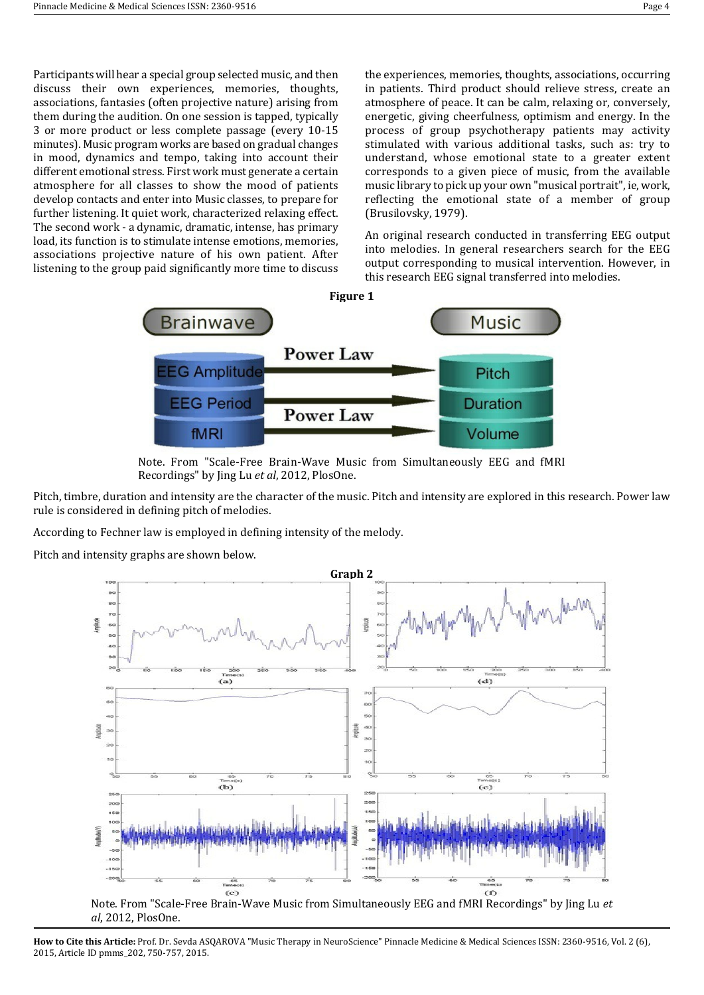Participants will hear a special group selected music, and then discuss their own experiences, memories, thoughts, associations, fantasies (often projective nature) arising from them during the audition. On one session is tapped, typically 3 or more product or less complete passage (every 10-15 minutes). Music program works are based on gradual changes in mood, dynamics and tempo, taking into account their different emotional stress. First work must generate a certain atmosphere for all classes to show the mood of patients develop contacts and enter into Music classes, to prepare for further listening. It quiet work, characterized relaxing effect. The second work - a dynamic, dramatic, intense, has primary load, its function is to stimulate intense emotions, memories, associations projective nature of his own patient. After listening to the group paid significantly more time to discuss

the experiences, memories, thoughts, associations, occurring in patients. Third product should relieve stress, create an atmosphere of peace. It can be calm, relaxing or, conversely, energetic, giving cheerfulness, optimism and energy. In the process of group psychotherapy patients may activity stimulated with various additional tasks, such as: try to understand, whose emotional state to a greater extent corresponds to a given piece of music, from the available music library to pick up your own "musical portrait", ie, work, reflecting the emotional state of a member of group (Brusilovsky, 1979).

An original research conducted in transferring EEG output into melodies. In general researchers search for the EEG output corresponding to musical intervention. However, in this research EEG signal transferred into melodies.



Note. From "Scale-Free Brain-Wave Music from Simultaneously EEG and fMRI Recordings" by Jing Lu *et al*, 2012, PlosOne.

Pitch, timbre, duration and intensity are the character of the music. Pitch and intensity are explored in this research. Power law rule is considered in defining pitch of melodies.

According to Fechner law is employed in defining intensity of the melody.

Pitch and intensity graphs are shown below.



Note. From "Scale-Free Brain-Wave Music from Simultaneously EEG and fMRI Recordings" by Jing Lu *et al*, 2012, PlosOne.

**How to Cite this Article:** Prof. Dr. Sevda ASQAROVA "Music Therapy in NeuroScience" Pinnacle Medicine & Medical Sciences ISSN: 2360-9516, Vol. 2 (6), 2015, Article ID pmms\_202, 750-757, 2015.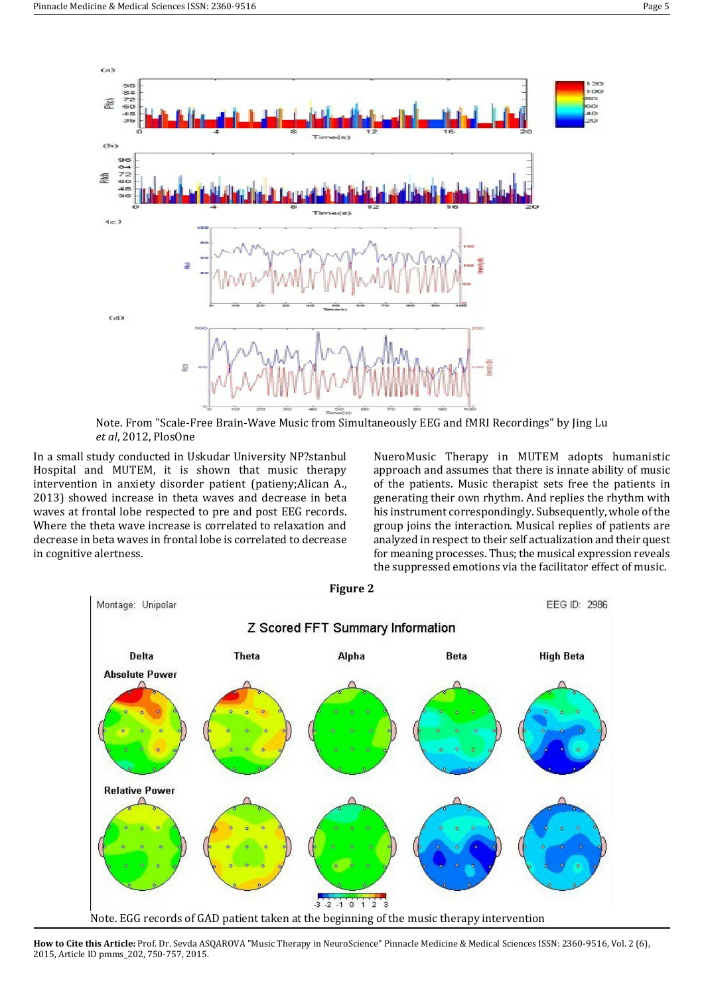

Note. From "Scale-Free Brain-Wave Music from Simultaneously EEG and fMRI Recordings" by Jing Lu *et al*, 2012, PlosOne

In a small study conducted in Uskudar University NP?stanbul Hospital and MUTEM, it is shown that music therapy intervention in anxiety disorder patient (patieny;Alican A., 2013) showed increase in theta waves and decrease in beta waves at frontal lobe respected to pre and post EEG records. Where the theta wave increase is correlated to relaxation and decrease in beta waves in frontal lobe is correlated to decrease in cognitive alertness.

NueroMusic Therapy in MUTEM adopts humanistic approach and assumes that there is innate ability of music of the patients. Music therapist sets free the patients in generating their own rhythm. And replies the rhythm with his instrument correspondingly. Subsequently, whole of the group joins the interaction. Musical replies of patients are analyzed in respect to their self actualization and their quest for meaning processes. Thus; the musical expression reveals the suppressed emotions via the facilitator effect of music.

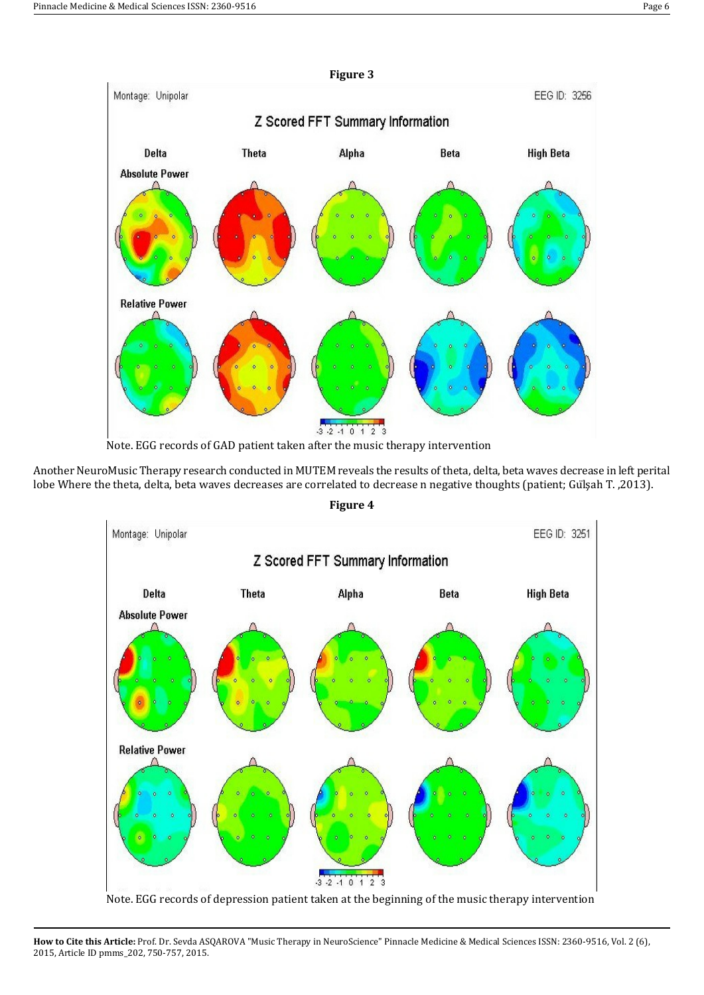

Another NeuroMusic Therapy research conducted in MUTEM reveals the results of theta, delta, beta waves decrease in left perital lobe Where the theta, delta, beta waves decreases are correlated to decrease n negative thoughts (patient; Gülşah T. ,2013).

**Figure 4**



Note. EGG records of depression patient taken at the beginning of the music therapy intervention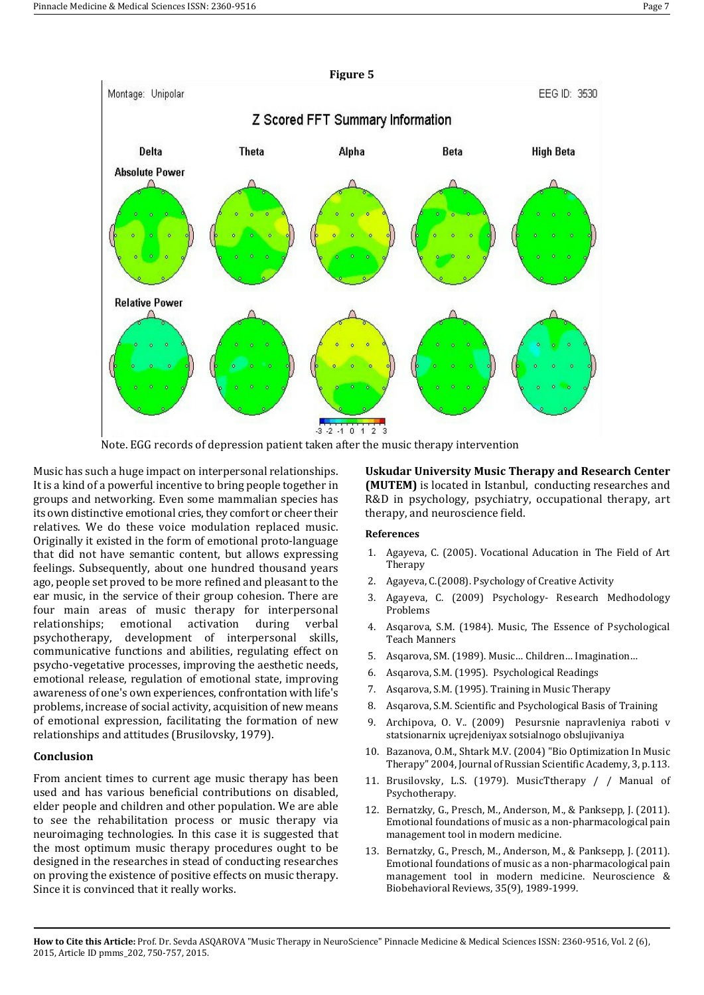

Note. EGG records of depression patient taken after the music therapy intervention

Music has such a huge impact on interpersonal relationships. It is a kind of a powerful incentive to bring people together in groups and networking. Even some mammalian species has its own distinctive emotional cries, they comfort or cheer their relatives. We do these voice modulation replaced music. Originally it existed in the form of emotional proto-language that did not have semantic content, but allows expressing feelings. Subsequently, about one hundred thousand years ago, people set proved to be more refined and pleasant to the ear music, in the service of their group cohesion. There are four main areas of music therapy for interpersonal relationships; emotional activation during verbal psychotherapy, development of interpersonal skills, communicative functions and abilities, regulating effect on psycho-vegetative processes, improving the aesthetic needs, emotional release, regulation of emotional state, improving awareness of one's own experiences, confrontation with life's problems, increase of social activity, acquisition of new means of emotional expression, facilitating the formation of new relationships and attitudes (Brusilovsky, 1979).

# **Conclusion**

From ancient times to current age music therapy has been used and has various beneficial contributions on disabled, elder people and children and other population. We are able to see the rehabilitation process or music therapy via neuroimaging technologies. In this case it is suggested that the most optimum music therapy procedures ought to be designed in the researches in stead of conducting researches on proving the existence of positive effects on music therapy. Since it is convinced that it really works.

**Uskudar University Music Therapy and Research Center (MUTEM)** is located in Istanbul, conducting researches and R&D in psychology, psychiatry, occupational therapy, art therapy, and neuroscience field.

# **References**

- 1. Agayeva, C. (2005). Vocational Aducation in The Field of Art Therapy
- 2. Agayeva, C.(2008). Psychology of Creative Activity
- 3. Agayeva, C. (2009) Psychology- Research Medhodology Problems
- 4. Asqarova, S.M. (1984). Music, The Essence of Psychological Teach Manners
- 5. Asqarova, SM. (1989). Music… Children… Imagination…
- 6. Asqarova, S.M. (1995). Psychological Readings
- 7. Asqarova, S.M. (1995). Training in Music Therapy
- 8. Asqarova, S.M. Scientific and Psychological Basis of Training
- 9. Archipova, O. V.. (2009) Pesursnie napravleniya raboti v statsionarnix uçrejdeniyax sotsialnogo obslujivaniya
- 10. Bazanova, O.M., Shtark M.V. (2004) "Bio Optimization In Music Therapy" 2004, Journal of Russian Scientific Academy, 3, p.113.
- 11. Brusilovsky, L.S. (1979). MusicTtherapy / / Manual of Psychotherapy.
- 12. Bernatzky, G., Presch, M., Anderson, M., & Panksepp, J. (2011). Emotional foundations of music as a non-pharmacological pain management tool in modern medicine.
- 13. Bernatzky, G., Presch, M., Anderson, M., & Panksepp, J. (2011). Emotional foundations of music as a non-pharmacological pain management tool in modern medicine. Neuroscience & Biobehavioral Reviews, 35(9), 1989-1999.